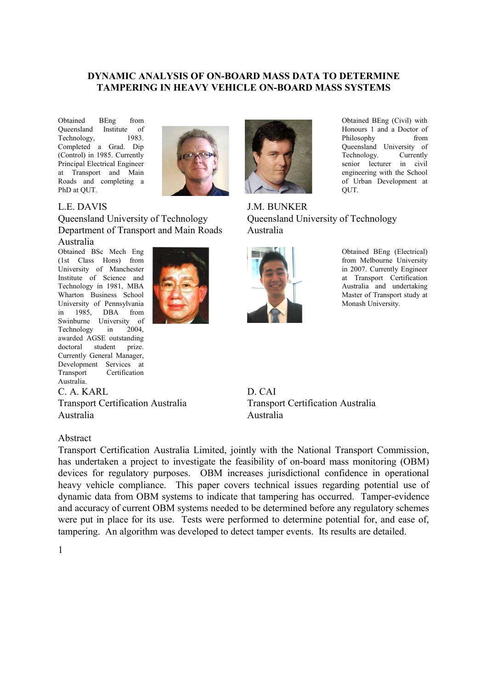### **DYNAMIC ANALYSIS OF ON-BOARD MASS DATA TO DETERMINE TAMPERING IN HEAVY VEHICLE ON-BOARD MASS SYSTEMS**

Obtained BEng from Queensland Institute of Technology, 1983. Completed a Grad. Dip (Control) in 1985. Currently Principal Electrical Engineer at Transport and Main Roads and completing a PhD at QUT.



#### L.E. DAVIS

Queensland University of Technology Department of Transport and Main Roads

#### Australia

Obtained BSc Mech Eng (1st Class Hons) from University of Manchester Institute of Science and Technology in 1981, MBA Wharton Business School University of Pennsylvania in 1985, DBA from Swinburne University of Technology in 2004, awarded AGSE outstanding doctoral student prize. Currently General Manager, Development Services at Transport Certification Australia.

C. A. KARL

Transport Certification Australia Australia

#### Abstract

Transport Certification Australia Limited, jointly with the National Transport Commission, has undertaken a project to investigate the feasibility of on-board mass monitoring (OBM) devices for regulatory purposes. OBM increases jurisdictional confidence in operational heavy vehicle compliance. This paper covers technical issues regarding potential use of dynamic data from OBM systems to indicate that tampering has occurred. Tamper-evidence and accuracy of current OBM systems needed to be determined before any regulatory schemes were put in place for its use. Tests were performed to determine potential for, and ease of, tampering. An algorithm was developed to detect tamper events. Its results are detailed.



Obtained BEng (Civil) with Honours 1 and a Doctor of Philosophy from Queensland University of Technology. Currently senior lecturer in civil engineering with the School of Urban Development at QUT.

J.M. BUNKER Queensland University of Technology Australia



Obtained BEng (Electrical) from Melbourne University in 2007. Currently Engineer at Transport Certification Australia and undertaking Master of Transport study at Monash University.

D. CAI Transport Certification Australia Australia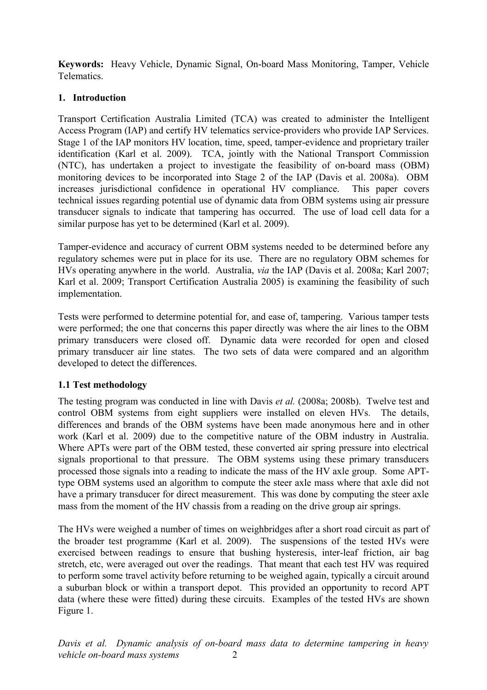**Keywords:** Heavy Vehicle, Dynamic Signal, On-board Mass Monitoring, Tamper, Vehicle Telematics.

# **1. Introduction**

Transport Certification Australia Limited (TCA) was created to administer the Intelligent Access Program (IAP) and certify HV telematics service-providers who provide IAP Services. Stage 1 of the IAP monitors HV location, time, speed, tamper-evidence and proprietary trailer identification (Karl et al. 2009). TCA, jointly with the National Transport Commission (NTC), has undertaken a project to investigate the feasibility of on-board mass (OBM) monitoring devices to be incorporated into Stage 2 of the IAP (Davis et al. 2008a). OBM increases jurisdictional confidence in operational HV compliance. This paper covers technical issues regarding potential use of dynamic data from OBM systems using air pressure transducer signals to indicate that tampering has occurred. The use of load cell data for a similar purpose has yet to be determined (Karl et al. 2009).

Tamper-evidence and accuracy of current OBM systems needed to be determined before any regulatory schemes were put in place for its use. There are no regulatory OBM schemes for HVs operating anywhere in the world. Australia, *via* the IAP (Davis et al. 2008a; Karl 2007; Karl et al. 2009; Transport Certification Australia 2005) is examining the feasibility of such implementation.

Tests were performed to determine potential for, and ease of, tampering. Various tamper tests were performed; the one that concerns this paper directly was where the air lines to the OBM primary transducers were closed off. Dynamic data were recorded for open and closed primary transducer air line states. The two sets of data were compared and an algorithm developed to detect the differences.

# **1.1 Test methodology**

The testing program was conducted in line with Davis *et al.* (2008a; 2008b). Twelve test and control OBM systems from eight suppliers were installed on eleven HVs*.* The details, differences and brands of the OBM systems have been made anonymous here and in other work (Karl et al. 2009) due to the competitive nature of the OBM industry in Australia. Where APTs were part of the OBM tested, these converted air spring pressure into electrical signals proportional to that pressure. The OBM systems using these primary transducers processed those signals into a reading to indicate the mass of the HV axle group. Some APTtype OBM systems used an algorithm to compute the steer axle mass where that axle did not have a primary transducer for direct measurement. This was done by computing the steer axle mass from the moment of the HV chassis from a reading on the drive group air springs.

The HVs were weighed a number of times on weighbridges after a short road circuit as part of the broader test programme (Karl et al. 2009). The suspensions of the tested HVs were exercised between readings to ensure that bushing hysteresis, inter-leaf friction, air bag stretch, etc, were averaged out over the readings. That meant that each test HV was required to perform some travel activity before returning to be weighed again, typically a circuit around a suburban block or within a transport depot. This provided an opportunity to record APT data (where these were fitted) during these circuits. Examples of the tested HVs are shown [Figure 1.](#page-2-0)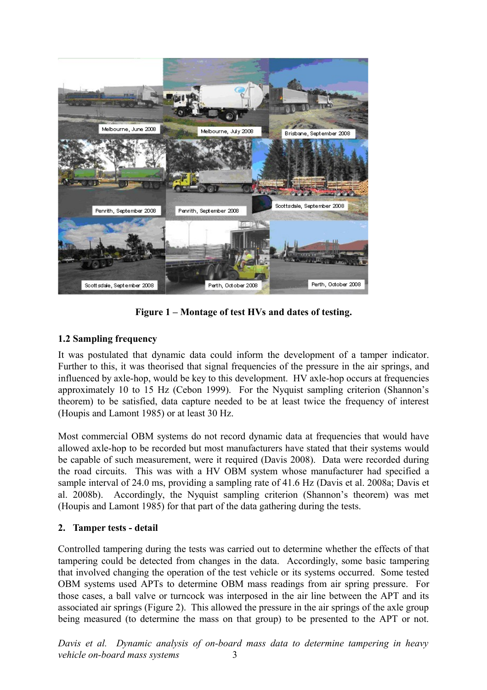

**Figure 1 – Montage of test HVs and dates of testing.**

# <span id="page-2-0"></span>**1.2 Sampling frequency**

It was postulated that dynamic data could inform the development of a tamper indicator. Further to this, it was theorised that signal frequencies of the pressure in the air springs, and influenced by axle-hop, would be key to this development. HV axle-hop occurs at frequencies approximately 10 to 15 Hz (Cebon 1999). For the Nyquist sampling criterion (Shannon's theorem) to be satisfied, data capture needed to be at least twice the frequency of interest (Houpis and Lamont 1985) or at least 30 Hz.

Most commercial OBM systems do not record dynamic data at frequencies that would have allowed axle-hop to be recorded but most manufacturers have stated that their systems would be capable of such measurement, were it required (Davis 2008). Data were recorded during the road circuits. This was with a HV OBM system whose manufacturer had specified a sample interval of 24.0 ms, providing a sampling rate of 41.6 Hz (Davis et al. 2008a; Davis et al. 2008b). Accordingly, the Nyquist sampling criterion (Shannon's theorem) was met (Houpis and Lamont 1985) for that part of the data gathering during the tests.

# **2. Tamper tests - detail**

Controlled tampering during the tests was carried out to determine whether the effects of that tampering could be detected from changes in the data. Accordingly, some basic tampering that involved changing the operation of the test vehicle or its systems occurred. Some tested OBM systems used APTs to determine OBM mass readings from air spring pressure. For those cases, a ball valve or turncock was interposed in the air line between the APT and its associated air springs [\(Figure 2\)](#page-3-0). This allowed the pressure in the air springs of the axle group being measured (to determine the mass on that group) to be presented to the APT or not.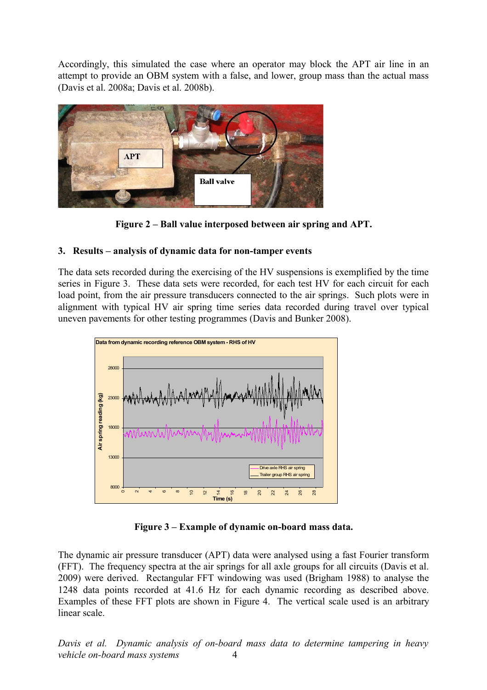Accordingly, this simulated the case where an operator may block the APT air line in an attempt to provide an OBM system with a false, and lower, group mass than the actual mass (Davis et al. 2008a; Davis et al. 2008b).



**Figure 2 – Ball value interposed between air spring and APT.**

# <span id="page-3-0"></span>**3. Results – analysis of dynamic data for non-tamper events**

The data sets recorded during the exercising of the HV suspensions is exemplified by the time series in [Figure 3.](#page-3-1) These data sets were recorded, for each test HV for each circuit for each load point, from the air pressure transducers connected to the air springs. Such plots were in alignment with typical HV air spring time series data recorded during travel over typical uneven pavements for other testing programmes (Davis and Bunker 2008).



<span id="page-3-1"></span>**Figure 3 – Example of dynamic on-board mass data.**

The dynamic air pressure transducer (APT) data were analysed using a fast Fourier transform (FFT). The frequency spectra at the air springs for all axle groups for all circuits (Davis et al. 2009) were derived. Rectangular FFT windowing was used (Brigham 1988) to analyse the 1248 data points recorded at 41.6 Hz for each dynamic recording as described above. Examples of these FFT plots are shown in [Figure 4.](#page-4-0) The vertical scale used is an arbitrary linear scale.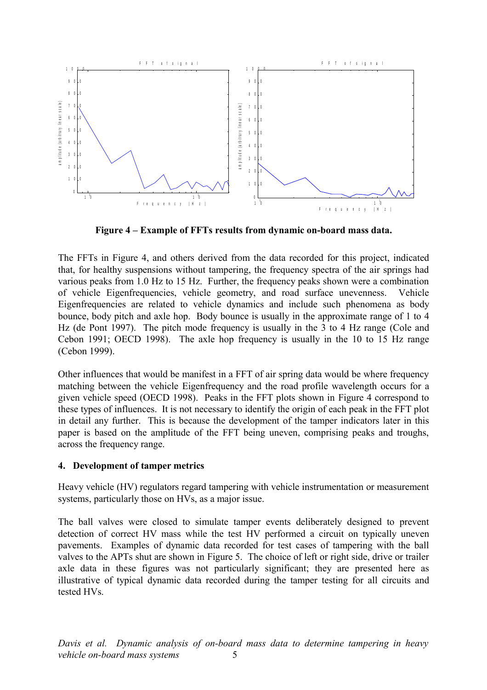

<span id="page-4-0"></span>**Figure 4 – Example of FFTs results from dynamic on-board mass data.**

The FFTs in [Figure 4,](#page-4-0) and others derived from the data recorded for this project, indicated that, for healthy suspensions without tampering, the frequency spectra of the air springs had various peaks from 1.0 Hz to 15 Hz. Further, the frequency peaks shown were a combination of vehicle Eigenfrequencies, vehicle geometry, and road surface unevenness. Vehicle Eigenfrequencies are related to vehicle dynamics and include such phenomena as body bounce, body pitch and axle hop. Body bounce is usually in the approximate range of 1 to 4 Hz (de Pont 1997). The pitch mode frequency is usually in the 3 to 4 Hz range (Cole and Cebon 1991; OECD 1998). The axle hop frequency is usually in the 10 to 15 Hz range (Cebon 1999).

Other influences that would be manifest in a FFT of air spring data would be where frequency matching between the vehicle Eigenfrequency and the road profile wavelength occurs for a given vehicle speed (OECD 1998). Peaks in the FFT plots shown in [Figure 4](#page-4-0) correspond to these types of influences. It is not necessary to identify the origin of each peak in the FFT plot in detail any further. This is because the development of the tamper indicators later in this paper is based on the amplitude of the FFT being uneven, comprising peaks and troughs, across the frequency range.

## **4. Development of tamper metrics**

Heavy vehicle (HV) regulators regard tampering with vehicle instrumentation or measurement systems, particularly those on HVs, as a major issue.

The ball valves were closed to simulate tamper events deliberately designed to prevent detection of correct HV mass while the test HV performed a circuit on typically uneven pavements. Examples of dynamic data recorded for test cases of tampering with the ball valves to the APTs shut are shown in [Figure 5.](#page-5-0) The choice of left or right side, drive or trailer axle data in these figures was not particularly significant; they are presented here as illustrative of typical dynamic data recorded during the tamper testing for all circuits and tested HVs.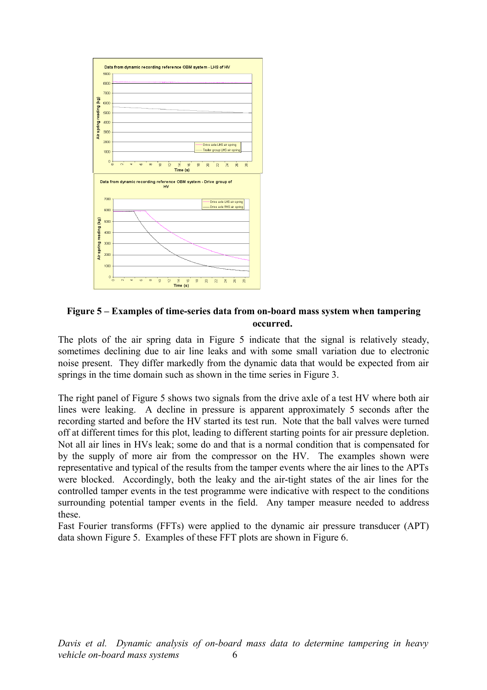

### <span id="page-5-0"></span>**Figure 5 – Examples of time-series data from on-board mass system when tampering occurred.**

The plots of the air spring data in [Figure 5](#page-5-0) indicate that the signal is relatively steady, sometimes declining due to air line leaks and with some small variation due to electronic noise present. They differ markedly from the dynamic data that would be expected from air springs in the time domain such as shown in the time series in [Figure 3.](#page-3-1)

The right panel of [Figure 5](#page-5-0) shows two signals from the drive axle of a test HV where both air lines were leaking. A decline in pressure is apparent approximately 5 seconds after the recording started and before the HV started its test run. Note that the ball valves were turned off at different times for this plot, leading to different starting points for air pressure depletion. Not all air lines in HVs leak; some do and that is a normal condition that is compensated for by the supply of more air from the compressor on the HV. The examples shown were representative and typical of the results from the tamper events where the air lines to the APTs were blocked. Accordingly, both the leaky and the air-tight states of the air lines for the controlled tamper events in the test programme were indicative with respect to the conditions surrounding potential tamper events in the field. Any tamper measure needed to address these.

Fast Fourier transforms (FFTs) were applied to the dynamic air pressure transducer (APT) data shown [Figure 5.](#page-5-0) Examples of these FFT plots are shown in [Figure 6.](#page-6-0)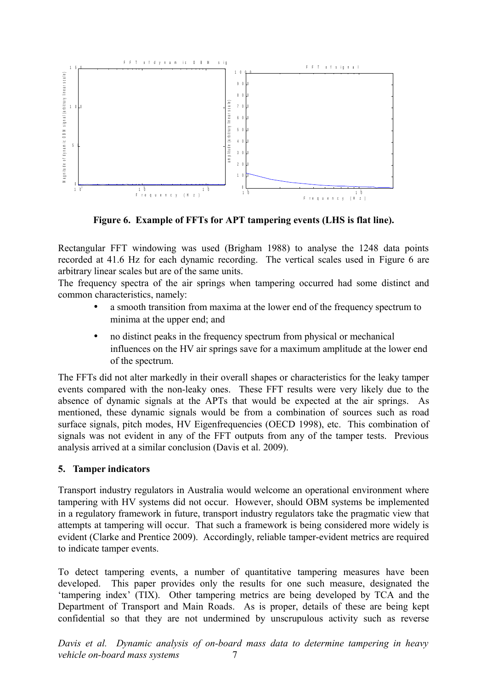

<span id="page-6-0"></span>**Figure 6. Example of FFTs for APT tampering events (LHS is flat line).**

Rectangular FFT windowing was used (Brigham 1988) to analyse the 1248 data points recorded at 41.6 Hz for each dynamic recording. The vertical scales used in [Figure 6](#page-6-0) are arbitrary linear scales but are of the same units.

The frequency spectra of the air springs when tampering occurred had some distinct and common characteristics, namely:

- a smooth transition from maxima at the lower end of the frequency spectrum to minima at the upper end; and
- no distinct peaks in the frequency spectrum from physical or mechanical influences on the HV air springs save for a maximum amplitude at the lower end of the spectrum.

The FFTs did not alter markedly in their overall shapes or characteristics for the leaky tamper events compared with the non-leaky ones. These FFT results were very likely due to the absence of dynamic signals at the APTs that would be expected at the air springs. As mentioned, these dynamic signals would be from a combination of sources such as road surface signals, pitch modes, HV Eigenfrequencies (OECD 1998), etc. This combination of signals was not evident in any of the FFT outputs from any of the tamper tests. Previous analysis arrived at a similar conclusion (Davis et al. 2009).

## **5. Tamper indicators**

Transport industry regulators in Australia would welcome an operational environment where tampering with HV systems did not occur. However, should OBM systems be implemented in a regulatory framework in future, transport industry regulators take the pragmatic view that attempts at tampering will occur. That such a framework is being considered more widely is evident (Clarke and Prentice 2009). Accordingly, reliable tamper-evident metrics are required to indicate tamper events.

To detect tampering events, a number of quantitative tampering measures have been developed. This paper provides only the results for one such measure, designated the 'tampering index' (TIX). Other tampering metrics are being developed by TCA and the Department of Transport and Main Roads. As is proper, details of these are being kept confidential so that they are not undermined by unscrupulous activity such as reverse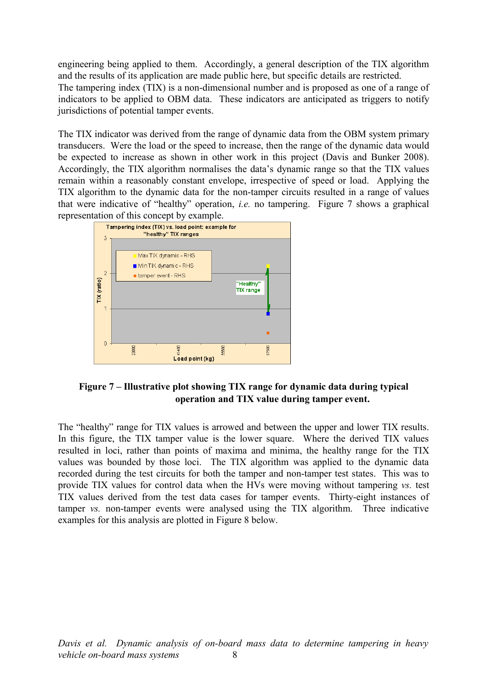engineering being applied to them. Accordingly, a general description of the TIX algorithm and the results of its application are made public here, but specific details are restricted. The tampering index (TIX) is a non-dimensional number and is proposed as one of a range of indicators to be applied to OBM data. These indicators are anticipated as triggers to notify jurisdictions of potential tamper events.

The TIX indicator was derived from the range of dynamic data from the OBM system primary transducers. Were the load or the speed to increase, then the range of the dynamic data would be expected to increase as shown in other work in this project (Davis and Bunker 2008). Accordingly, the TIX algorithm normalises the data's dynamic range so that the TIX values remain within a reasonably constant envelope, irrespective of speed or load. Applying the TIX algorithm to the dynamic data for the non-tamper circuits resulted in a range of values that were indicative of "healthy" operation, *i.e.* no tampering. [Figure 7](#page-7-0) shows a graphical



# <span id="page-7-0"></span>**Figure 7 – Illustrative plot showing TIX range for dynamic data during typical operation and TIX value during tamper event.**

The "healthy" range for TIX values is arrowed and between the upper and lower TIX results. In this figure, the TIX tamper value is the lower square. Where the derived TIX values resulted in loci, rather than points of maxima and minima, the healthy range for the TIX values was bounded by those loci. The TIX algorithm was applied to the dynamic data recorded during the test circuits for both the tamper and non-tamper test states. This was to provide TIX values for control data when the HVs were moving without tampering *vs.* test TIX values derived from the test data cases for tamper events. Thirty-eight instances of tamper *vs.* non-tamper events were analysed using the TIX algorithm. Three indicative examples for this analysis are plotted in [Figure 8](#page-8-0) below.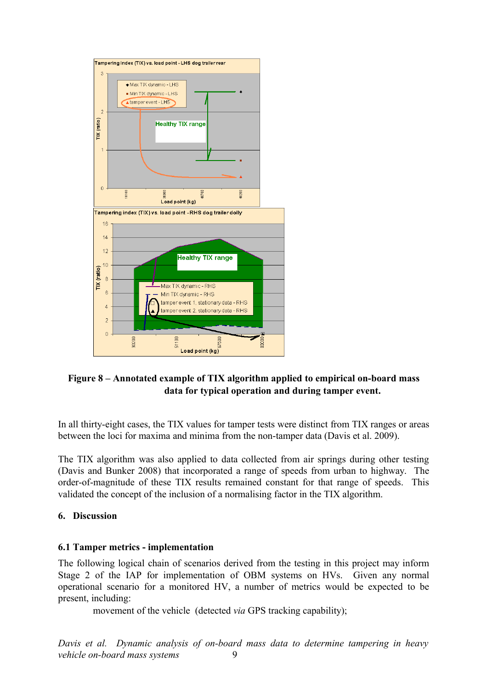

# <span id="page-8-0"></span>**Figure 8 – Annotated example of TIX algorithm applied to empirical on-board mass data for typical operation and during tamper event.**

In all thirty-eight cases, the TIX values for tamper tests were distinct from TIX ranges or areas between the loci for maxima and minima from the non-tamper data (Davis et al. 2009).

The TIX algorithm was also applied to data collected from air springs during other testing (Davis and Bunker 2008) that incorporated a range of speeds from urban to highway. The order-of-magnitude of these TIX results remained constant for that range of speeds. This validated the concept of the inclusion of a normalising factor in the TIX algorithm.

## **6. Discussion**

### **6.1 Tamper metrics - implementation**

The following logical chain of scenarios derived from the testing in this project may inform Stage 2 of the IAP for implementation of OBM systems on HVs. Given any normal operational scenario for a monitored HV, a number of metrics would be expected to be present, including:

movement of the vehicle (detected *via* GPS tracking capability);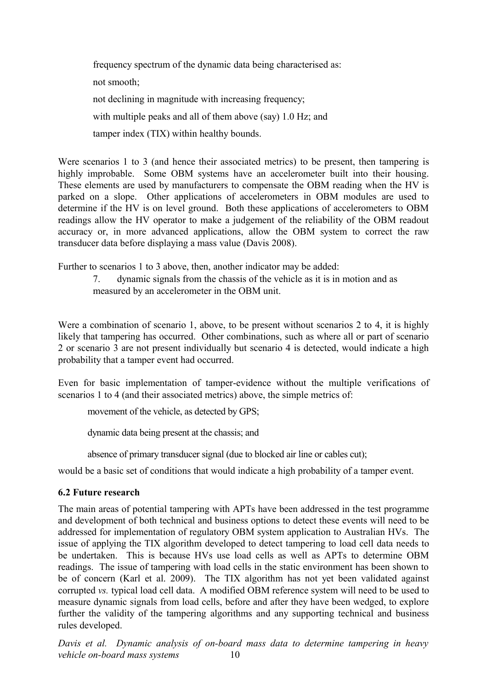frequency spectrum of the dynamic data being characterised as: not smooth; not declining in magnitude with increasing frequency; with multiple peaks and all of them above (say) 1.0 Hz; and tamper index (TIX) within healthy bounds.

Were scenarios 1 to 3 (and hence their associated metrics) to be present, then tampering is highly improbable. Some OBM systems have an accelerometer built into their housing. These elements are used by manufacturers to compensate the OBM reading when the HV is parked on a slope. Other applications of accelerometers in OBM modules are used to determine if the HV is on level ground. Both these applications of accelerometers to OBM readings allow the HV operator to make a judgement of the reliability of the OBM readout accuracy or, in more advanced applications, allow the OBM system to correct the raw transducer data before displaying a mass value (Davis 2008).

Further to scenarios 1 to 3 above, then, another indicator may be added:

7. dynamic signals from the chassis of the vehicle as it is in motion and as measured by an accelerometer in the OBM unit.

Were a combination of scenario 1, above, to be present without scenarios 2 to 4, it is highly likely that tampering has occurred. Other combinations, such as where all or part of scenario 2 or scenario 3 are not present individually but scenario 4 is detected, would indicate a high probability that a tamper event had occurred.

Even for basic implementation of tamper-evidence without the multiple verifications of scenarios 1 to 4 (and their associated metrics) above, the simple metrics of:

movement of the vehicle, as detected by GPS;

dynamic data being present at the chassis; and

absence of primary transducer signal (due to blocked air line or cables cut);

would be a basic set of conditions that would indicate a high probability of a tamper event.

### **6.2 Future research**

The main areas of potential tampering with APTs have been addressed in the test programme and development of both technical and business options to detect these events will need to be addressed for implementation of regulatory OBM system application to Australian HVs. The issue of applying the TIX algorithm developed to detect tampering to load cell data needs to be undertaken. This is because HVs use load cells as well as APTs to determine OBM readings. The issue of tampering with load cells in the static environment has been shown to be of concern (Karl et al. 2009). The TIX algorithm has not yet been validated against corrupted *vs.* typical load cell data. A modified OBM reference system will need to be used to measure dynamic signals from load cells, before and after they have been wedged, to explore further the validity of the tampering algorithms and any supporting technical and business rules developed.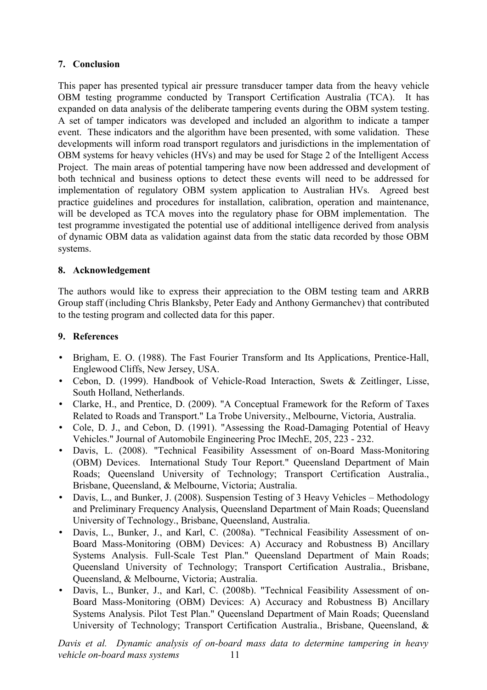# **7. Conclusion**

This paper has presented typical air pressure transducer tamper data from the heavy vehicle OBM testing programme conducted by Transport Certification Australia (TCA). It has expanded on data analysis of the deliberate tampering events during the OBM system testing. A set of tamper indicators was developed and included an algorithm to indicate a tamper event. These indicators and the algorithm have been presented, with some validation. These developments will inform road transport regulators and jurisdictions in the implementation of OBM systems for heavy vehicles (HVs) and may be used for Stage 2 of the Intelligent Access Project. The main areas of potential tampering have now been addressed and development of both technical and business options to detect these events will need to be addressed for implementation of regulatory OBM system application to Australian HVs. Agreed best practice guidelines and procedures for installation, calibration, operation and maintenance, will be developed as TCA moves into the regulatory phase for OBM implementation. The test programme investigated the potential use of additional intelligence derived from analysis of dynamic OBM data as validation against data from the static data recorded by those OBM systems.

# **8. Acknowledgement**

The authors would like to express their appreciation to the OBM testing team and ARRB Group staff (including Chris Blanksby, Peter Eady and Anthony Germanchev) that contributed to the testing program and collected data for this paper.

# **9. References**

- Brigham, E. O. (1988). The Fast Fourier Transform and Its Applications, Prentice-Hall, Englewood Cliffs, New Jersey, USA.
- Cebon, D. (1999). Handbook of Vehicle-Road Interaction, Swets & Zeitlinger, Lisse, South Holland, Netherlands.
- Clarke, H., and Prentice, D. (2009). "A Conceptual Framework for the Reform of Taxes Related to Roads and Transport." La Trobe University., Melbourne, Victoria, Australia.
- Cole, D. J., and Cebon, D. (1991). "Assessing the Road-Damaging Potential of Heavy Vehicles." Journal of Automobile Engineering Proc IMechE, 205, 223 - 232.
- Davis, L. (2008). "Technical Feasibility Assessment of on-Board Mass-Monitoring (OBM) Devices. International Study Tour Report." Queensland Department of Main Roads; Queensland University of Technology; Transport Certification Australia., Brisbane, Queensland, & Melbourne, Victoria; Australia.
- Davis, L., and Bunker, J. (2008). Suspension Testing of 3 Heavy Vehicles Methodology and Preliminary Frequency Analysis, Queensland Department of Main Roads; Queensland University of Technology., Brisbane, Queensland, Australia.
- Davis, L., Bunker, J., and Karl, C. (2008a). "Technical Feasibility Assessment of on-Board Mass-Monitoring (OBM) Devices: A) Accuracy and Robustness B) Ancillary Systems Analysis. Full-Scale Test Plan." Queensland Department of Main Roads; Queensland University of Technology; Transport Certification Australia., Brisbane, Queensland, & Melbourne, Victoria; Australia.
- Davis, L., Bunker, J., and Karl, C. (2008b). "Technical Feasibility Assessment of on-Board Mass-Monitoring (OBM) Devices: A) Accuracy and Robustness B) Ancillary Systems Analysis. Pilot Test Plan." Queensland Department of Main Roads; Queensland University of Technology; Transport Certification Australia., Brisbane, Queensland, &